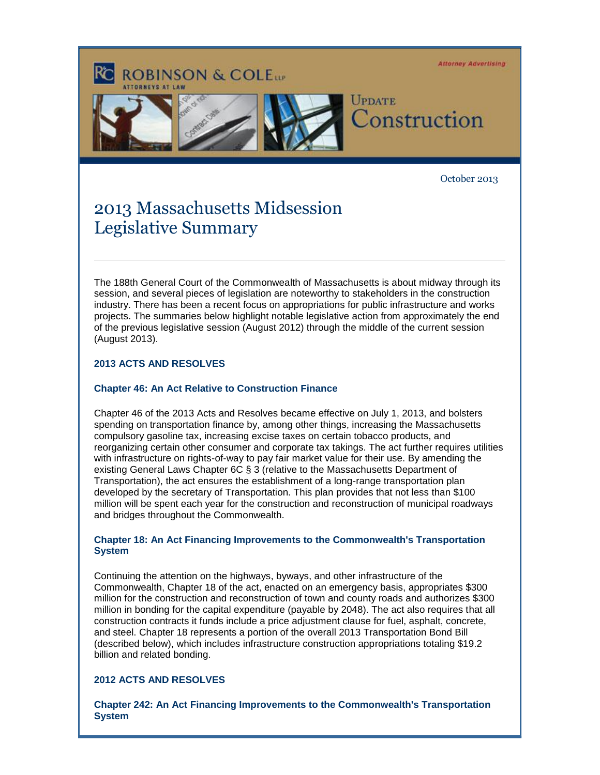**Attorney Advertising ROBINSON & COLETT** UPDATE Construction

October 2013

# 2013 Massachusetts Midsession Legislative Summary

The 188th General Court of the Commonwealth of Massachusetts is about midway through its session, and several pieces of legislation are noteworthy to stakeholders in the construction industry. There has been a recent focus on appropriations for public infrastructure and works projects. The summaries below highlight notable legislative action from approximately the end of the previous legislative session (August 2012) through the middle of the current session (August 2013).

## **2013 ACTS AND RESOLVES**

### **Chapter 46: An Act Relative to Construction Finance**

Chapter 46 of the 2013 Acts and Resolves became effective on July 1, 2013, and bolsters spending on transportation finance by, among other things, increasing the Massachusetts compulsory gasoline tax, increasing excise taxes on certain tobacco products, and reorganizing certain other consumer and corporate tax takings. The act further requires utilities with infrastructure on rights-of-way to pay fair market value for their use. By amending the existing General Laws Chapter 6C § 3 (relative to the Massachusetts Department of Transportation), the act ensures the establishment of a long-range transportation plan developed by the secretary of Transportation. This plan provides that not less than \$100 million will be spent each year for the construction and reconstruction of municipal roadways and bridges throughout the Commonwealth.

#### **Chapter 18: An Act Financing Improvements to the Commonwealth's Transportation System**

Continuing the attention on the highways, byways, and other infrastructure of the Commonwealth, Chapter 18 of the act, enacted on an emergency basis, appropriates \$300 million for the construction and reconstruction of town and county roads and authorizes \$300 million in bonding for the capital expenditure (payable by 2048). The act also requires that all construction contracts it funds include a price adjustment clause for fuel, asphalt, concrete, and steel. Chapter 18 represents a portion of the overall 2013 Transportation Bond Bill (described below), which includes infrastructure construction appropriations totaling \$19.2 billion and related bonding.

#### **2012 ACTS AND RESOLVES**

**Chapter 242: An Act Financing Improvements to the Commonwealth's Transportation System**